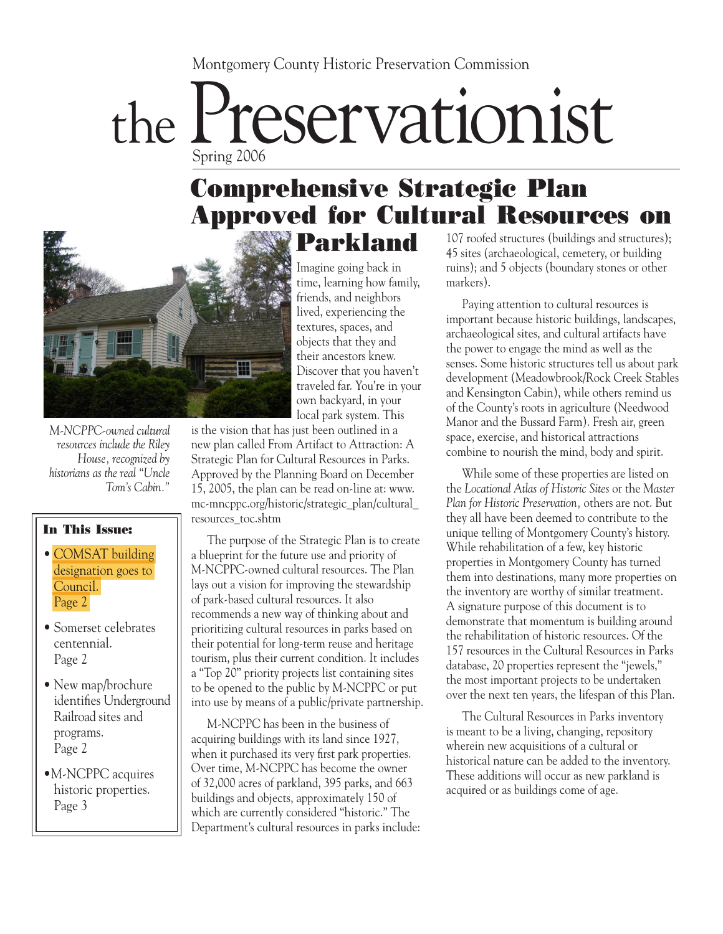#### Montgomery County Historic Preservation Commission

# the Preservationist Spring 2006

#### Comprehensive Strategic Plan **Approved for Cultural Resources** Parkland 107 roofed structures (buildings and structures);



*M-NCPPC-owned cultural resources include the Riley House, recognized by historians as the real "Uncle Tom's Cabin."*

#### In This Issue:

- COMSAT building designation goes to Council. Page 2
- Somerset celebrates centennial. Page 2
- New map/brochure identifies Underground Railroad sites and programs. Page 2
- •M-NCPPC acquires historic properties. Page 3

Imagine going back in time, learning how family, friends, and neighbors lived, experiencing the textures, spaces, and objects that they and their ancestors knew. Discover that you haven't traveled far. You're in your own backyard, in your local park system. This

is the vision that has just been outlined in a new plan called From Artifact to Attraction: A Strategic Plan for Cultural Resources in Parks. Approved by the Planning Board on December 15, 2005, the plan can be read on-line at: www. mc-mncppc.org/historic/strategic\_plan/cultural\_ resources\_toc.shtm

 The purpose of the Strategic Plan is to create a blueprint for the future use and priority of M-NCPPC-owned cultural resources. The Plan lays out a vision for improving the stewardship of park-based cultural resources. It also recommends a new way of thinking about and prioritizing cultural resources in parks based on their potential for long-term reuse and heritage tourism, plus their current condition. It includes a "Top 20" priority projects list containing sites to be opened to the public by M-NCPPC or put into use by means of a public/private partnership.

 M-NCPPC has been in the business of acquiring buildings with its land since 1927, when it purchased its very first park properties. Over time, M-NCPPC has become the owner of 32,000 acres of parkland, 395 parks, and 663 buildings and objects, approximately 150 of which are currently considered "historic." The Department's cultural resources in parks include: 45 sites (archaeological, cemetery, or building ruins); and 5 objects (boundary stones or other markers).

 Paying attention to cultural resources is important because historic buildings, landscapes, archaeological sites, and cultural artifacts have the power to engage the mind as well as the senses. Some historic structures tell us about park development (Meadowbrook/Rock Creek Stables and Kensington Cabin), while others remind us of the County's roots in agriculture (Needwood Manor and the Bussard Farm). Fresh air, green space, exercise, and historical attractions combine to nourish the mind, body and spirit.

 While some of these properties are listed on the *Locational Atlas of Historic Sites* or the *Master Plan for Historic Preservation,* others are not. But they all have been deemed to contribute to the unique telling of Montgomery County's history. While rehabilitation of a few, key historic properties in Montgomery County has turned them into destinations, many more properties on the inventory are worthy of similar treatment. A signature purpose of this document is to demonstrate that momentum is building around the rehabilitation of historic resources. Of the 157 resources in the Cultural Resources in Parks database, 20 properties represent the "jewels," the most important projects to be undertaken over the next ten years, the lifespan of this Plan.

 The Cultural Resources in Parks inventory is meant to be a living, changing, repository wherein new acquisitions of a cultural or historical nature can be added to the inventory. These additions will occur as new parkland is acquired or as buildings come of age.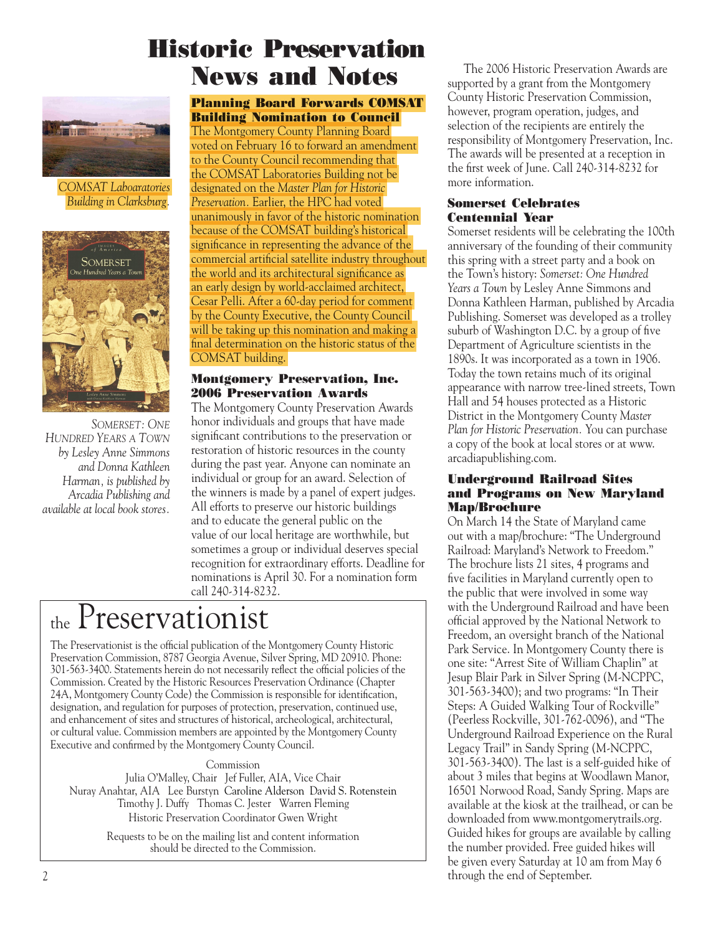## Historic Preservation News and Notes



*COMSAT Laboaratories Building in Clarksburg.*



*SOMERSET: ONE HUNDRED YEARS A TOWN by Lesley Anne Simmons and Donna Kathleen Harman, is published by Arcadia Publishing and available at local book stores.*

#### Planning Board Forwards COMSAT Building Nomination to Council

The Montgomery County Planning Board voted on February 16 to forward an amendment to the County Council recommending that the COMSAT Laboratories Building not be designated on the *Master Plan for Historic Preservation.* Earlier, the HPC had voted unanimously in favor of the historic nomination because of the COMSAT building's historical significance in representing the advance of the commercial artificial satellite industry throughout the world and its architectural significance as an early design by world-acclaimed architect, Cesar Pelli. After a 60-day period for comment by the County Executive, the County Council will be taking up this nomination and making a final determination on the historic status of the COMSAT building.

#### Montgomery Preservation, Inc. 2006 Preservation Awards

The Montgomery County Preservation Awards honor individuals and groups that have made significant contributions to the preservation or restoration of historic resources in the county during the past year. Anyone can nominate an individual or group for an award. Selection of the winners is made by a panel of expert judges. All efforts to preserve our historic buildings and to educate the general public on the value of our local heritage are worthwhile, but sometimes a group or individual deserves special recognition for extraordinary efforts. Deadline for nominations is April 30. For a nomination form call 240-314-8232.

## the Preservationist

The Preservationist is the official publication of the Montgomery County Historic Preservation Commission, 8787 Georgia Avenue, Silver Spring, MD 20910. Phone: 301-563-3400. Statements herein do not necessarily reflect the official policies of the Commission. Created by the Historic Resources Preservation Ordinance (Chapter 24A, Montgomery County Code) the Commission is responsible for identification, designation, and regulation for purposes of protection, preservation, continued use, and enhancement of sites and structures of historical, archeological, architectural, or cultural value. Commission members are appointed by the Montgomery County Executive and confirmed by the Montgomery County Council.

#### Commission

Julia O'Malley, Chair Jef Fuller, AIA, Vice Chair Nuray Anahtar, AIA Lee Burstyn Caroline Alderson David S. Rotenstein Timothy J. Duffy Thomas C. Jester Warren Fleming Historic Preservation Coordinator Gwen Wright

> Requests to be on the mailing list and content information should be directed to the Commission.

 The 2006 Historic Preservation Awards are supported by a grant from the Montgomery County Historic Preservation Commission, however, program operation, judges, and selection of the recipients are entirely the responsibility of Montgomery Preservation, Inc. The awards will be presented at a reception in the first week of June. Call 240-314-8232 for more information.

#### Somerset Celebrates Centennial Year

Somerset residents will be celebrating the 100th anniversary of the founding of their community this spring with a street party and a book on the Town's history: *Somerset: One Hundred Years a Town* by Lesley Anne Simmons and Donna Kathleen Harman, published by Arcadia Publishing. Somerset was developed as a trolley suburb of Washington D.C. by a group of five Department of Agriculture scientists in the 1890s. It was incorporated as a town in 1906. Today the town retains much of its original appearance with narrow tree-lined streets, Town Hall and 54 houses protected as a Historic District in the Montgomery County *Master Plan for Historic Preservation.* You can purchase a copy of the book at local stores or at www. arcadiapublishing.com.

#### Underground Railroad Sites and Programs on New Maryland Map/Brochure

On March 14 the State of Maryland came out with a map/brochure: "The Underground Railroad: Maryland's Network to Freedom." The brochure lists 21 sites, 4 programs and five facilities in Maryland currently open to the public that were involved in some way with the Underground Railroad and have been official approved by the National Network to Freedom, an oversight branch of the National Park Service. In Montgomery County there is one site: "Arrest Site of William Chaplin" at Jesup Blair Park in Silver Spring (M-NCPPC, 301-563-3400); and two programs: "In Their Steps: A Guided Walking Tour of Rockville" (Peerless Rockville, 301-762-0096), and "The Underground Railroad Experience on the Rural Legacy Trail" in Sandy Spring (M-NCPPC, 301-563-3400). The last is a self-guided hike of about 3 miles that begins at Woodlawn Manor, 16501 Norwood Road, Sandy Spring. Maps are available at the kiosk at the trailhead, or can be downloaded from www.montgomerytrails.org. Guided hikes for groups are available by calling the number provided. Free guided hikes will be given every Saturday at 10 am from May 6 through the end of September.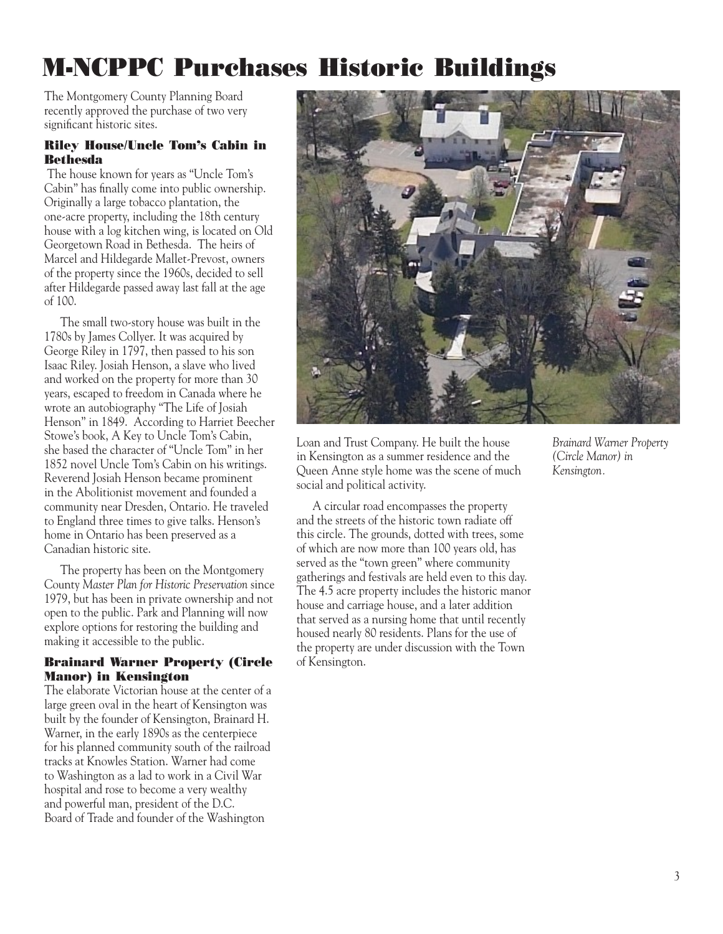## M-NCPPC Purchases Historic Buildings

The Montgomery County Planning Board recently approved the purchase of two very significant historic sites.

#### Riley House/Uncle Tom's Cabin in Bethesda

 The house known for years as "Uncle Tom's Cabin" has finally come into public ownership. Originally a large tobacco plantation, the one-acre property, including the 18th century house with a log kitchen wing, is located on Old Georgetown Road in Bethesda. The heirs of Marcel and Hildegarde Mallet-Prevost, owners of the property since the 1960s, decided to sell after Hildegarde passed away last fall at the age of 100.

 The small two-story house was built in the 1780s by James Collyer. It was acquired by George Riley in 1797, then passed to his son Isaac Riley. Josiah Henson, a slave who lived and worked on the property for more than 30 years, escaped to freedom in Canada where he wrote an autobiography "The Life of Josiah Henson" in 1849. According to Harriet Beecher Stowe's book, A Key to Uncle Tom's Cabin, she based the character of "Uncle Tom" in her 1852 novel Uncle Tom's Cabin on his writings. Reverend Josiah Henson became prominent in the Abolitionist movement and founded a community near Dresden, Ontario. He traveled to England three times to give talks. Henson's home in Ontario has been preserved as a Canadian historic site.

 The property has been on the Montgomery County *Master Plan for Historic Preservation* since 1979, but has been in private ownership and not open to the public. Park and Planning will now explore options for restoring the building and making it accessible to the public.

#### Brainard Warner Property (Circle Manor) in Kensington

The elaborate Victorian house at the center of a large green oval in the heart of Kensington was built by the founder of Kensington, Brainard H. Warner, in the early 1890s as the centerpiece for his planned community south of the railroad tracks at Knowles Station. Warner had come to Washington as a lad to work in a Civil War hospital and rose to become a very wealthy and powerful man, president of the D.C. Board of Trade and founder of the Washington



Loan and Trust Company. He built the house in Kensington as a summer residence and the Queen Anne style home was the scene of much social and political activity.

 A circular road encompasses the property and the streets of the historic town radiate off this circle. The grounds, dotted with trees, some of which are now more than 100 years old, has served as the "town green" where community gatherings and festivals are held even to this day. The 4.5 acre property includes the historic manor house and carriage house, and a later addition that served as a nursing home that until recently housed nearly 80 residents. Plans for the use of the property are under discussion with the Town of Kensington.

*Brainard Warner Property (Circle Manor) in Kensington.*